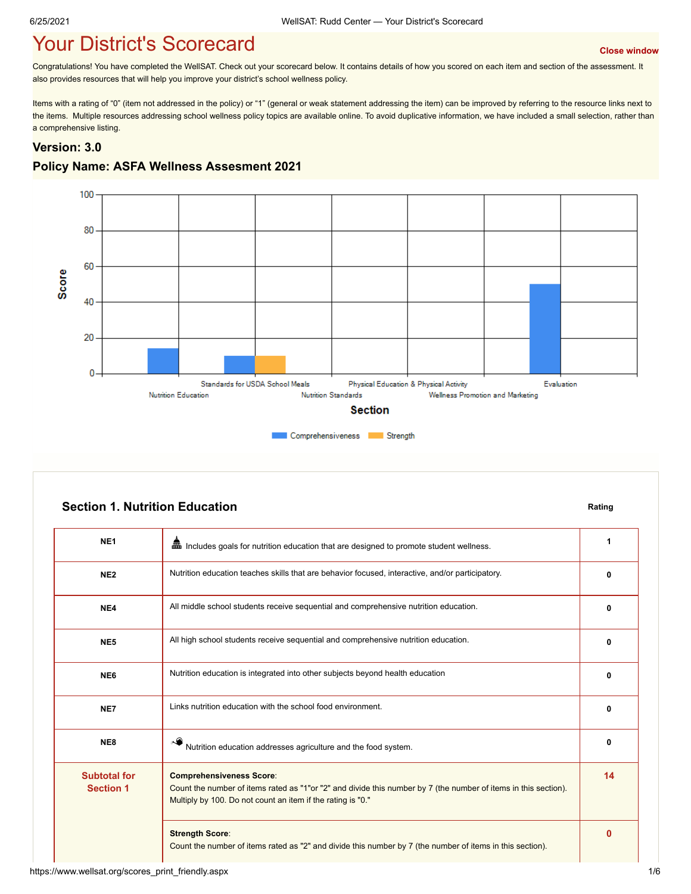# **Your District's Scorecard According to the Close Window** [Close window](javascript:close();)

Congratulations! You have completed the WellSAT. Check out your scorecard below. It contains details of how you scored on each item and section of the assessment. It also provides resources that will help you improve your district's school wellness policy.

Items with a rating of "0" (item not addressed in the policy) or "1" (general or weak statement addressing the item) can be improved by referring to the resource links next to the items. Multiple resources addressing school wellness policy topics are available online. To avoid duplicative information, we have included a small selection, rather than a comprehensive listing.

#### **Version: 3.0**

#### **Policy Name: ASFA Wellness Assesment 2021**



|                                         | <b>Section 1. Nutrition Education</b>                                                                                                                                                                             | Rating |
|-----------------------------------------|-------------------------------------------------------------------------------------------------------------------------------------------------------------------------------------------------------------------|--------|
| NE <sub>1</sub>                         | lincludes goals for nutrition education that are designed to promote student wellness.                                                                                                                            | 1      |
| NE <sub>2</sub>                         | Nutrition education teaches skills that are behavior focused, interactive, and/or participatory.                                                                                                                  | 0      |
| NE4                                     | All middle school students receive sequential and comprehensive nutrition education.                                                                                                                              | 0      |
| NE <sub>5</sub>                         | All high school students receive sequential and comprehensive nutrition education.                                                                                                                                | 0      |
| NE <sub>6</sub>                         | Nutrition education is integrated into other subjects beyond health education                                                                                                                                     | 0      |
| NE7                                     | Links nutrition education with the school food environment.                                                                                                                                                       | 0      |
| NE8                                     | Nutrition education addresses agriculture and the food system.                                                                                                                                                    | 0      |
| <b>Subtotal for</b><br><b>Section 1</b> | <b>Comprehensiveness Score:</b><br>Count the number of items rated as "1"or "2" and divide this number by 7 (the number of items in this section).<br>Multiply by 100. Do not count an item if the rating is "0." | 14     |
|                                         | <b>Strength Score:</b>                                                                                                                                                                                            | 0      |

Count the number of items rated as "2" and divide this number by 7 (the number of items in this section).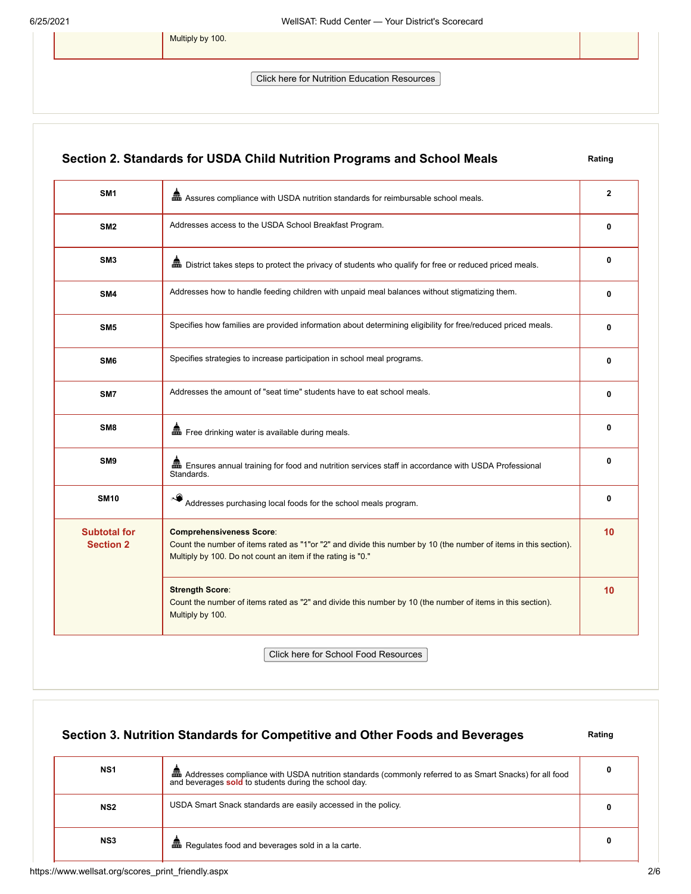Multiply by 100.

Click here for Nutrition Education Resources

## **Section 2. Standards for USDA Child Nutrition Programs and School Meals Rating**

| SM <sub>1</sub>                         | and Assures compliance with USDA nutrition standards for reimbursable school meals.                                                                                                                                | $\overline{2}$ |
|-----------------------------------------|--------------------------------------------------------------------------------------------------------------------------------------------------------------------------------------------------------------------|----------------|
| SM <sub>2</sub>                         | Addresses access to the USDA School Breakfast Program.                                                                                                                                                             | 0              |
| SM <sub>3</sub>                         |                                                                                                                                                                                                                    | 0              |
| SM4                                     | Addresses how to handle feeding children with unpaid meal balances without stigmatizing them.                                                                                                                      | 0              |
| SM <sub>5</sub>                         | Specifies how families are provided information about determining eligibility for free/reduced priced meals.                                                                                                       | 0              |
| SM <sub>6</sub>                         | Specifies strategies to increase participation in school meal programs.                                                                                                                                            | 0              |
| SM7                                     | Addresses the amount of "seat time" students have to eat school meals.                                                                                                                                             | 0              |
| SM <sub>8</sub>                         | Free drinking water is available during meals.                                                                                                                                                                     | 0              |
| SM <sub>9</sub>                         | Ensures annual training for food and nutrition services staff in accordance with USDA Professional<br>Standards.                                                                                                   | $\mathbf{0}$   |
| <b>SM10</b>                             | Addresses purchasing local foods for the school meals program.                                                                                                                                                     | 0              |
| <b>Subtotal for</b><br><b>Section 2</b> | <b>Comprehensiveness Score:</b><br>Count the number of items rated as "1"or "2" and divide this number by 10 (the number of items in this section).<br>Multiply by 100. Do not count an item if the rating is "0." | 10             |
|                                         | <b>Strength Score:</b><br>Count the number of items rated as "2" and divide this number by 10 (the number of items in this section).<br>Multiply by 100.                                                           | 10             |
|                                         |                                                                                                                                                                                                                    |                |

Click here for School Food Resources

# **Section 3. Nutrition Standards for Competitive and Other Foods and Beverages** Rating

| NS <sub>1</sub> | Em Addresses compliance with USDA nutrition standards (commonly referred to as Smart Snacks) for all food<br>and beverages sold to students during the school day. |  |
|-----------------|--------------------------------------------------------------------------------------------------------------------------------------------------------------------|--|
| NS <sub>2</sub> | USDA Smart Snack standards are easily accessed in the policy.                                                                                                      |  |
| NS3             | <b>Et Regulates food and beverages sold in a la carte.</b>                                                                                                         |  |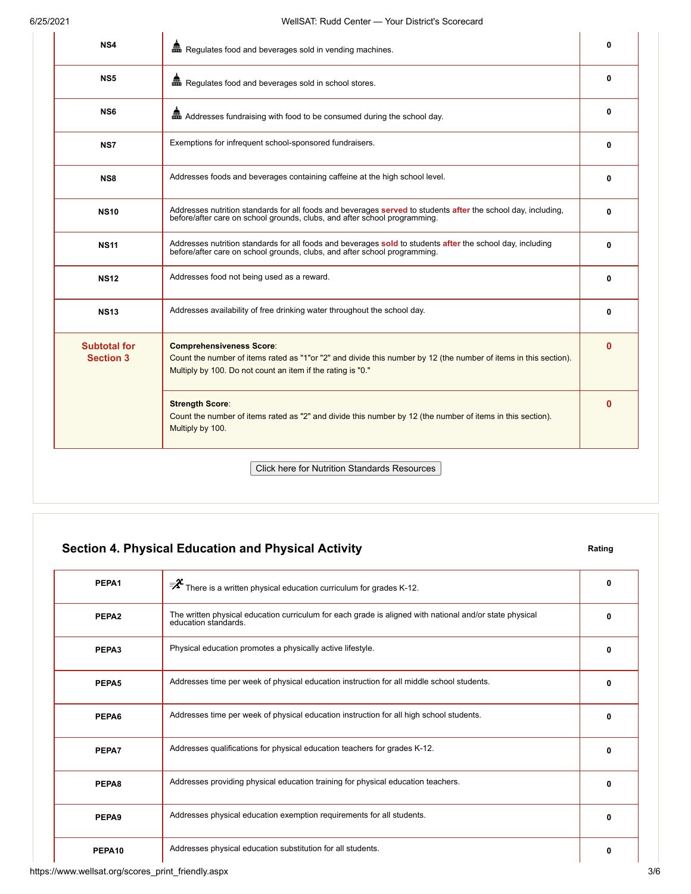| NS4                                     | man Regulates food and beverages sold in vending machines.                                                                                                                                                         | $\mathbf{0}$ |
|-----------------------------------------|--------------------------------------------------------------------------------------------------------------------------------------------------------------------------------------------------------------------|--------------|
| NS <sub>5</sub>                         | man Regulates food and beverages sold in school stores.                                                                                                                                                            | 0            |
| NS <sub>6</sub>                         | and Addresses fundraising with food to be consumed during the school day.                                                                                                                                          | $\mathbf{0}$ |
| NS7                                     | Exemptions for infrequent school-sponsored fundraisers.                                                                                                                                                            | 0            |
| NS8                                     | Addresses foods and beverages containing caffeine at the high school level.                                                                                                                                        | 0            |
| <b>NS10</b>                             | Addresses nutrition standards for all foods and beverages served to students after the school day, including,<br>before/after care on school grounds, clubs, and after school programming.                         | 0            |
| <b>NS11</b>                             | Addresses nutrition standards for all foods and beverages sold to students after the school day, including<br>before/after care on school grounds, clubs, and after school programming.                            | $\mathbf{0}$ |
| <b>NS12</b>                             | Addresses food not being used as a reward.                                                                                                                                                                         | $\mathbf{0}$ |
| <b>NS13</b>                             | Addresses availability of free drinking water throughout the school day.                                                                                                                                           | 0            |
| <b>Subtotal for</b><br><b>Section 3</b> | <b>Comprehensiveness Score:</b><br>Count the number of items rated as "1"or "2" and divide this number by 12 (the number of items in this section).<br>Multiply by 100. Do not count an item if the rating is "0." | $\bf{0}$     |
|                                         | <b>Strength Score:</b><br>Count the number of items rated as "2" and divide this number by 12 (the number of items in this section).<br>Multiply by 100.                                                           | $\Omega$     |
|                                         | <b>Click here for Nutrition Standards Resources</b>                                                                                                                                                                |              |

# **Section 4. Physical Education and Physical Activity <b>Rating** Rating

| PEPA1              | $\bar{z}^2$ There is a written physical education curriculum for grades K-12.                                                   | 0            |
|--------------------|---------------------------------------------------------------------------------------------------------------------------------|--------------|
| PEPA <sub>2</sub>  | The written physical education curriculum for each grade is aligned with national and/or state physical<br>education standards. | n            |
| PEPA3              | Physical education promotes a physically active lifestyle.                                                                      | n            |
| PEPA5              | Addresses time per week of physical education instruction for all middle school students.                                       | n            |
| PEPA6              | Addresses time per week of physical education instruction for all high school students.                                         | 0            |
| PEPA7              | Addresses qualifications for physical education teachers for grades K-12.                                                       | $\mathbf{0}$ |
| PEPA8              | Addresses providing physical education training for physical education teachers.                                                | n            |
| PEPA <sub>9</sub>  | Addresses physical education exemption requirements for all students.                                                           | ŋ            |
| PEPA <sub>10</sub> | Addresses physical education substitution for all students.                                                                     | 0            |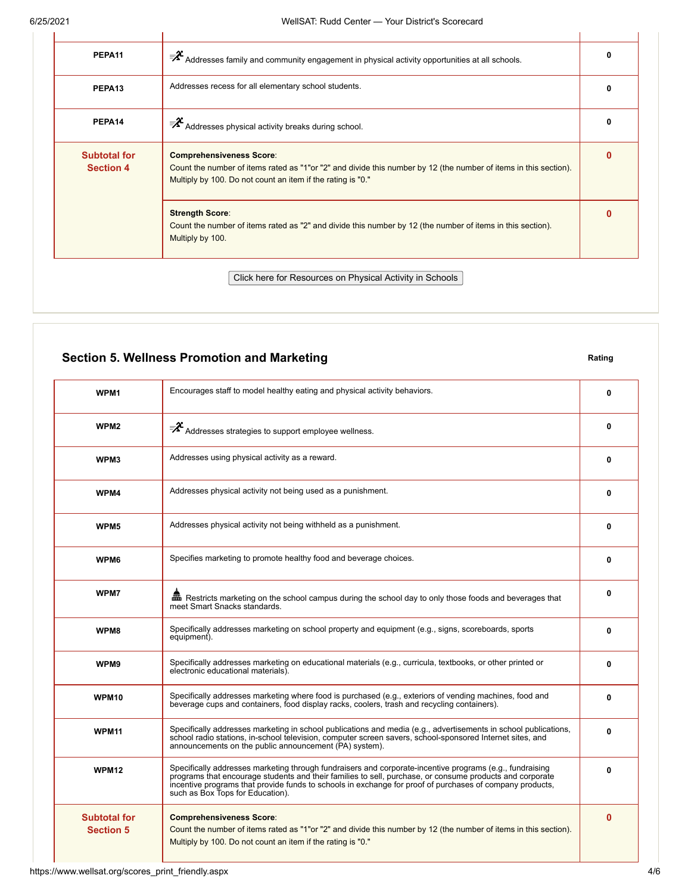| PEPA <sub>11</sub>                      | $\bar{z}^2$ Addresses family and community engagement in physical activity opportunities at all schools.                                                                                                           |  |
|-----------------------------------------|--------------------------------------------------------------------------------------------------------------------------------------------------------------------------------------------------------------------|--|
| PEPA <sub>13</sub>                      | Addresses recess for all elementary school students.                                                                                                                                                               |  |
| PEPA14                                  | $\mathcal{F}$ Addresses physical activity breaks during school.                                                                                                                                                    |  |
| <b>Subtotal for</b><br><b>Section 4</b> | <b>Comprehensiveness Score:</b><br>Count the number of items rated as "1"or "2" and divide this number by 12 (the number of items in this section).<br>Multiply by 100. Do not count an item if the rating is "0." |  |
|                                         | <b>Strength Score:</b><br>Count the number of items rated as "2" and divide this number by 12 (the number of items in this section).<br>Multiply by 100.                                                           |  |

## **Section 5. Wellness Promotion and Marketing <b>Rating Rating Rating**

**WPM1** Encourages staff to model healthy eating and physical activity behaviors. **1 1 1 1 1 1 1 1 WPM2**  $\mathbb{R}^2$  Addresses strategies to support employee wellness. **WPM3** Addresses using physical activity as a reward. **0 WPM4** Addresses physical activity not being used as a punishment. **0 1 1 1 1 1 1 1 1 1 WPM5** Addresses physical activity not being withheld as a punishment. **0 1 1 1 1 1 1 1 1 WPM6** Specifies marketing to promote healthy food and beverage choices. **0 1 1 1 1 1 1 1 WPM7 A** Restricts marketing on the school campus during the school day to only those foods and beverages that meet Smart Snacks standards. **0 WPM8** Specifically addresses marketing on school property and equipment (e.g., signs, scoreboards, sports equipment). **0 WPM9** Specifically addresses marketing on educational materials (e.g., curricula, textbooks, or other printed or electronic educational materials). **0 WPM10** Specifically addresses marketing where food is purchased (e.g., exteriors of vending machines, food and beverage cups and containers, food display racks, coolers, trash and recycling containers). **0 WPM11** Specifically addresses marketing in school publications and media (e.g., advertisements in school publications, school radio stations, in-school television, computer screen savers, school-sponsored Internet sites, and announcements on the public announcement (PA) system). **0 WPM12** Specifically addresses marketing through fundraisers and corporate-incentive programs (e.g., fundraising programs that encourage students and their families to sell, purchase, or consume products and corporate incentive programs that provide funds to schools in exchange for proof of purchases of company products, such as Box Tops for Education). **0 Subtotal for Section 5 Comprehensiveness Score**: Count the number of items rated as "1"or "2" and divide this number by 12 (the number of items in this section). Multiply by 100. Do not count an item if the rating is "0." **0**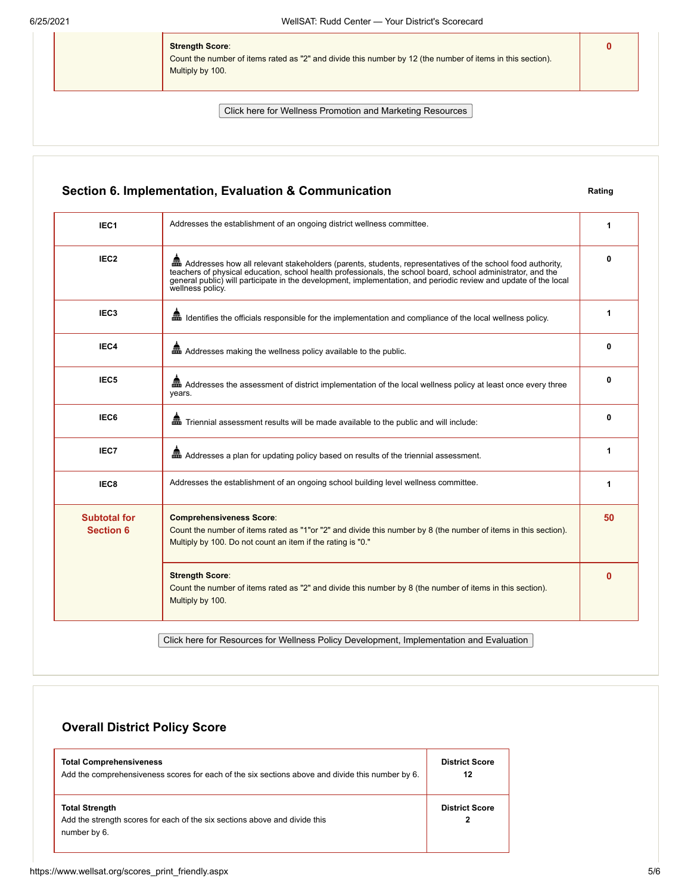**Strength Score**:

Count the number of items rated as "2" and divide this number by 12 (the number of items in this section). Multiply by 100.

Click here for Wellness Promotion and Marketing Resources

### **Section 6. Implementation, Evaluation & Communication Rating**

**IEC1** Addresses the establishment of an ongoing district wellness committee. **1 1 1 IEC2 A** Addresses how all relevant stakeholders (parents, students, representatives of the school food authority, teachers of physical education, school health professionals, the school board, school administrator, and the<br>general public) will participate in the development, implementation, and periodic review and update of the local<br> **0 IEC3 IEC3 IDENTIFIELD IDENTIFIELD** Identifies the officials responsible for the implementation and compliance of the local wellness policy. **1 IEC4 A** Addresses making the wellness policy available to the public. **0 0 0 0 IEC5 A** Addresses the assessment of district implementation of the local wellness policy at least once every three years. **0 IEC6 A**<br>**IEC6 EXECUTE:** Triennial assessment results will be made available to the public and will include: **IEC7 A** Addresses a plan for updating policy based on results of the triennial assessment. **1 IEC8** Addresses the establishment of an ongoing school building level wellness committee. **1 Subtotal for Section 6 Comprehensiveness Score**: Count the number of items rated as "1"or "2" and divide this number by 8 (the number of items in this section). Multiply by 100. Do not count an item if the rating is "0." **50 Strength Score**: Count the number of items rated as "2" and divide this number by 8 (the number of items in this section). Multiply by 100. **0**

Click here for Resources for Wellness Policy Development, Implementation and Evaluation

## **Overall District Policy Score**

| <b>Total Comprehensiveness</b>                                                                                      | <b>District Score</b> |
|---------------------------------------------------------------------------------------------------------------------|-----------------------|
| Add the comprehensiveness scores for each of the six sections above and divide this number by 6.                    | 12                    |
| <b>Total Strength</b><br>Add the strength scores for each of the six sections above and divide this<br>number by 6. | <b>District Score</b> |

**0**